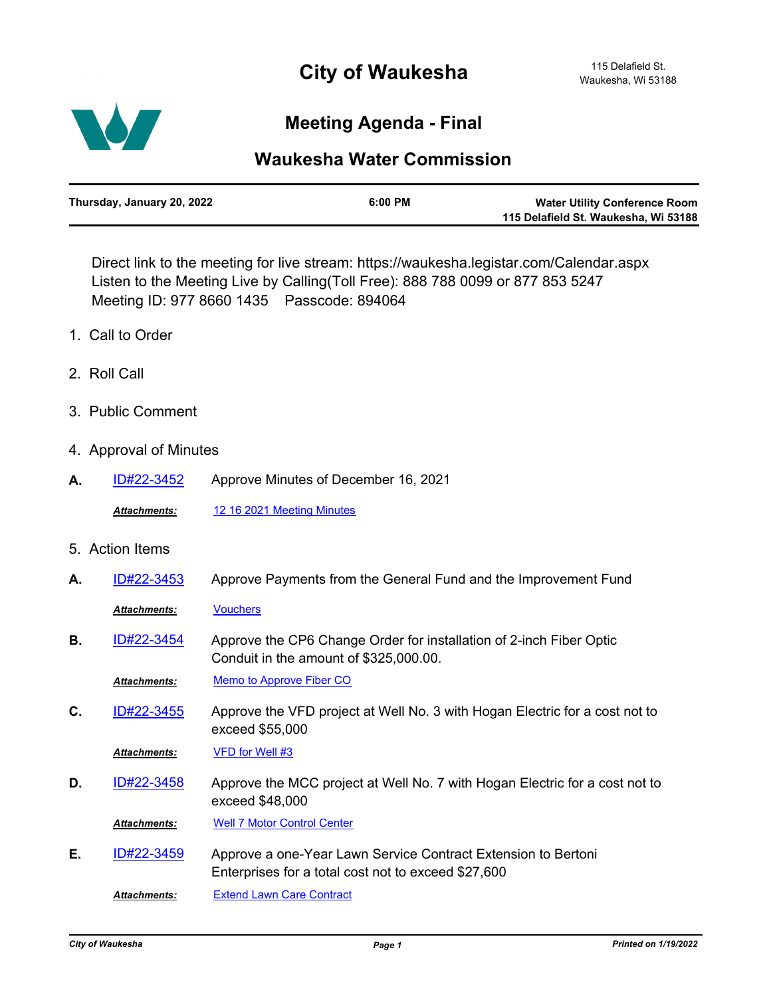## **City of Waukesha**



## **Meeting Agenda - Final**

## **Waukesha Water Commission**

| Thursday, January 20, 2022 | $6:00$ PM | <b>Water Utility Conference Room</b> |
|----------------------------|-----------|--------------------------------------|
|                            |           | 115 Delafield St. Waukesha, Wi 53188 |

Direct link to the meeting for live stream: https://waukesha.legistar.com/Calendar.aspx Listen to the Meeting Live by Calling(Toll Free): 888 788 0099 or 877 853 5247 Meeting ID: 977 8660 1435 Passcode: 894064

- 1. Call to Order
- 2. Roll Call
- 3. Public Comment
- 4. Approval of Minutes
- **A.** [ID#22-3452](http://waukesha.legistar.com/gateway.aspx?m=l&id=/matter.aspx?key=16400) Approve Minutes of December 16, 2021
	- *Attachments:* [12 16 2021 Meeting Minutes](http://waukesha.legistar.com/gateway.aspx?M=F&ID=9996c8dc-71ba-4c6d-8030-9efd5158b647.pdf)
- 5. Action Items

| А. | ID#22-3453          | Approve Payments from the General Fund and the Improvement Fund                                                      |
|----|---------------------|----------------------------------------------------------------------------------------------------------------------|
|    | <b>Attachments:</b> | <b>Vouchers</b>                                                                                                      |
| В. | ID#22-3454          | Approve the CP6 Change Order for installation of 2-inch Fiber Optic<br>Conduit in the amount of \$325,000.00.        |
|    | <b>Attachments:</b> | <b>Memo to Approve Fiber CO</b>                                                                                      |
| C. | ID#22-3455          | Approve the VFD project at Well No. 3 with Hogan Electric for a cost not to<br>exceed \$55,000                       |
|    | Attachments:        | VFD for Well #3                                                                                                      |
| D. | ID#22-3458          | Approve the MCC project at Well No. 7 with Hogan Electric for a cost not to<br>exceed \$48,000                       |
|    | <b>Attachments:</b> | <b>Well 7 Motor Control Center</b>                                                                                   |
| Е. | ID#22-3459          | Approve a one-Year Lawn Service Contract Extension to Bertoni<br>Enterprises for a total cost not to exceed \$27,600 |
|    | <b>Attachments:</b> | <b>Extend Lawn Care Contract</b>                                                                                     |
|    |                     |                                                                                                                      |